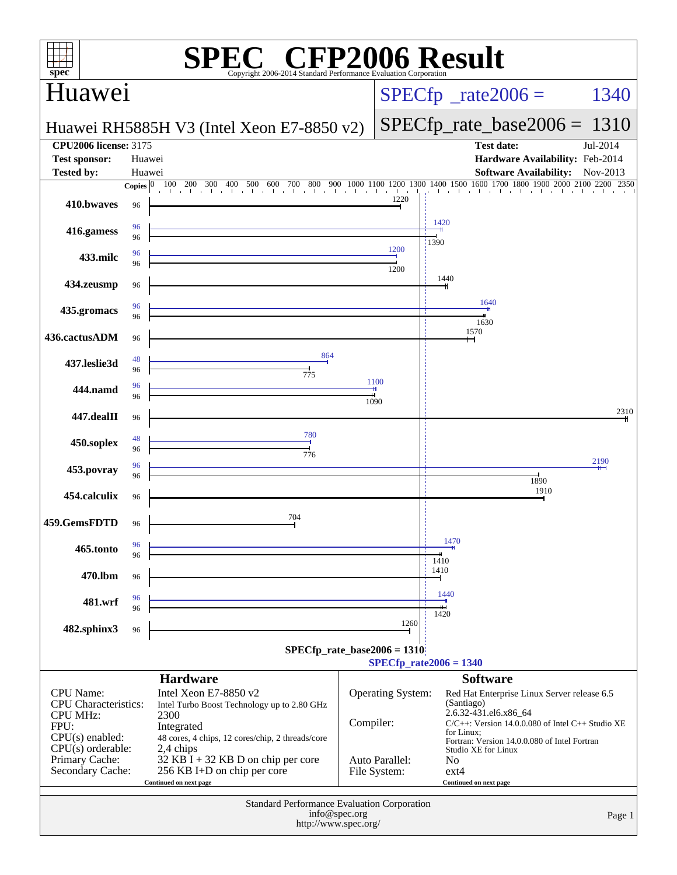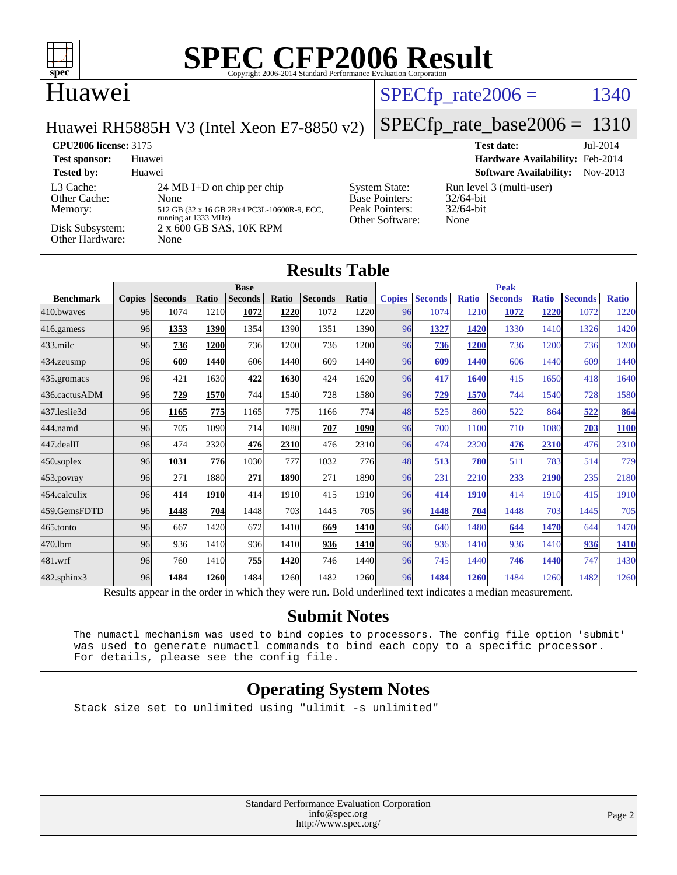

### Huawei

### $SPECTp_rate2006 = 1340$

Huawei RH5885H V3 (Intel Xeon E7-8850 v2) [SPECfp\\_rate\\_base2006 =](http://www.spec.org/auto/cpu2006/Docs/result-fields.html#SPECfpratebase2006) 1310

| <b>CPU2006 license: 3175</b>                                               |                                                                                                                                              |                                                                                    | <b>Test date:</b>                                                | $Jul-2014$ |
|----------------------------------------------------------------------------|----------------------------------------------------------------------------------------------------------------------------------------------|------------------------------------------------------------------------------------|------------------------------------------------------------------|------------|
| <b>Test sponsor:</b>                                                       | Huawei                                                                                                                                       |                                                                                    | Hardware Availability: Feb-2014                                  |            |
| <b>Tested by:</b>                                                          | Huawei                                                                                                                                       |                                                                                    | <b>Software Availability:</b>                                    | Nov-2013   |
| L3 Cache:<br>Other Cache:<br>Memory:<br>Disk Subsystem:<br>Other Hardware: | 24 MB I+D on chip per chip<br>None<br>512 GB (32 x 16 GB 2Rx4 PC3L-10600R-9, ECC,<br>running at 1333 MHz)<br>2 x 600 GB SAS, 10K RPM<br>None | <b>System State:</b><br><b>Base Pointers:</b><br>Peak Pointers:<br>Other Software: | Run level 3 (multi-user)<br>$32/64$ -bit<br>$32/64$ -bit<br>None |            |

### **[Results Table](http://www.spec.org/auto/cpu2006/Docs/result-fields.html#ResultsTable)**

|                  | <b>Base</b>   |                |              |                |       | <b>Peak</b>    |              |               |                 |              |                |              |                |              |
|------------------|---------------|----------------|--------------|----------------|-------|----------------|--------------|---------------|-----------------|--------------|----------------|--------------|----------------|--------------|
| <b>Benchmark</b> | <b>Copies</b> | <b>Seconds</b> | Ratio        | <b>Seconds</b> | Ratio | <b>Seconds</b> | <b>Ratio</b> | <b>Copies</b> | <b>Seconds</b>  | <b>Ratio</b> | <b>Seconds</b> | <b>Ratio</b> | <b>Seconds</b> | <b>Ratio</b> |
| $410$ .bwayes    | 96            | 1074           | 1210         | 1072           | 1220  | 1072           | 1220         | 96            | 1074            | 1210         | 1072           | 1220         | 1072           | 1220         |
| $416$ .gamess    | 96            | 1353           | 1390         | 1354           | 1390  | 1351           | 1390         | 96            | 1327            | 1420         | 1330           | 1410         | 1326           | 1420         |
| $433$ .milc      | 96            | 736            | 1200         | 736            | 1200  | 736            | 1200         | 96            | 736             | 1200         | 736            | 1200         | 736            | 1200         |
| $434$ . zeusmp   | 96            | 609            | 1440         | 606            | 1440  | 609            | 1440         | 96            | 609             | 1440         | 606            | 1440         | 609            | 1440         |
| 435.gromacs      | 96            | 421            | 1630         | 422            | 1630  | 424            | 1620         | 96            | 417             | 1640         | 415            | 1650         | 418            | 1640         |
| 436.cactusADM    | 96            | 729            | 1570         | 744            | 1540  | 728            | 1580         | 96            | 729             | 1570         | 744            | 1540         | 728            | 1580         |
| 437.leslie3d     | 96            | 1165           | 775          | 1165           | 775   | 1166           | 774          | 48            | 525             | 860          | 522            | 864          | 522            | 864          |
| 444.namd         | 96            | 705            | 1090         | 714            | 1080  | 707            | 1090         | 96            | 700             | 1100         | 710            | 1080         | 703            | <b>1100</b>  |
| 447.dealII       | 96            | 474            | 2320         | 476            | 2310  | 476            | 2310         | 96            | 474             | 2320         | 476            | 2310         | 476            | 2310         |
| $450$ .soplex    | 96            | 1031           | 776          | 1030           | 777   | 1032           | 776          | 48            | 513             | 780          | 511            | 783          | 514            | 779          |
| $453$ . povray   | 96            | 271            | 1880         | 271            | 1890  | 271            | 1890         | 96            | 231             | 2210         | 233            | 2190         | 235            | 2180         |
| 454.calculix     | 96            | 414            | 1910         | 414            | 1910  | 415            | 1910         | 96            | 414             | 1910         | 414            | 1910         | 415            | 1910         |
| 459.GemsFDTD     | 96            | 1448           | 704          | 1448           | 703   | 1445           | 705          | 96            | 1448            | 704          | 1448           | 703          | 1445           | 705          |
| $465$ .tonto     | 96            | 667            | 1420         | 672            | 1410  | 669            | 1410         | 96            | 640             | 1480         | 644            | 1470         | 644            | 1470         |
| 470.1bm          | 96            | 936            | 1410         | 936            | 1410  | 936            | 1410         | 96            | 936             | 1410         | 936            | 1410         | 936            | 1410         |
| 481.wrf          | 96            | 760            | 1410         | 755            | 1420  | 746            | 1440         | 96            | 745             | 1440         | 746            | 1440         | 747            | 1430         |
| 482.sphinx3      | 96            | 1484           | 1260         | 1484           | 1260  | 1482           | 1260         | 96            | 1484            | 1260         | 1484           | 1260         | 1482           | 1260         |
| $\mathbf{r}$     |               |                | $\mathbf{1}$ | 1.1.1          |       |                | $T = 1.1$    | 1.11          | $\cdot$ $\cdot$ |              |                |              |                |              |

Results appear in the [order in which they were run.](http://www.spec.org/auto/cpu2006/Docs/result-fields.html#RunOrder) Bold underlined text [indicates a median measurement.](http://www.spec.org/auto/cpu2006/Docs/result-fields.html#Median)

### **[Submit Notes](http://www.spec.org/auto/cpu2006/Docs/result-fields.html#SubmitNotes)**

 The numactl mechanism was used to bind copies to processors. The config file option 'submit' was used to generate numactl commands to bind each copy to a specific processor. For details, please see the config file.

### **[Operating System Notes](http://www.spec.org/auto/cpu2006/Docs/result-fields.html#OperatingSystemNotes)**

Stack size set to unlimited using "ulimit -s unlimited"

Standard Performance Evaluation Corporation [info@spec.org](mailto:info@spec.org) <http://www.spec.org/>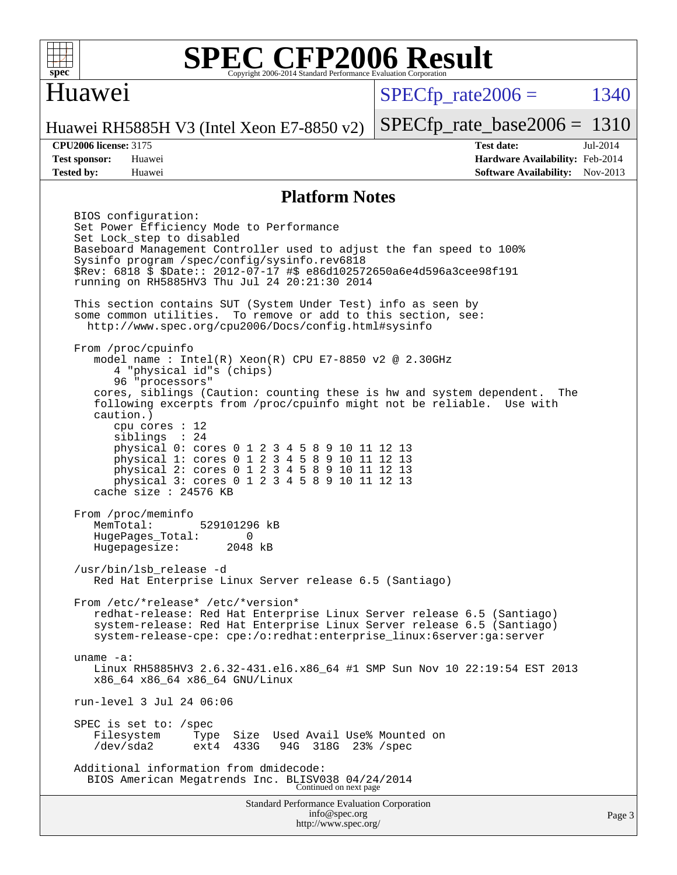

### Huawei

 $SPECTp\_rate2006 = 1340$ 

Huawei RH5885H V3 (Intel Xeon E7-8850 v2)

**[Test sponsor:](http://www.spec.org/auto/cpu2006/Docs/result-fields.html#Testsponsor)** Huawei **[Hardware Availability:](http://www.spec.org/auto/cpu2006/Docs/result-fields.html#HardwareAvailability)** Feb-2014 **[Tested by:](http://www.spec.org/auto/cpu2006/Docs/result-fields.html#Testedby)** Huawei **[Software Availability:](http://www.spec.org/auto/cpu2006/Docs/result-fields.html#SoftwareAvailability)** Nov-2013

[SPECfp\\_rate\\_base2006 =](http://www.spec.org/auto/cpu2006/Docs/result-fields.html#SPECfpratebase2006) 1310 **[CPU2006 license:](http://www.spec.org/auto/cpu2006/Docs/result-fields.html#CPU2006license)** 3175 **[Test date:](http://www.spec.org/auto/cpu2006/Docs/result-fields.html#Testdate)** Jul-2014

#### **[Platform Notes](http://www.spec.org/auto/cpu2006/Docs/result-fields.html#PlatformNotes)**

Standard Performance Evaluation Corporation BIOS configuration: Set Power Efficiency Mode to Performance Set Lock\_step to disabled Baseboard Management Controller used to adjust the fan speed to 100% Sysinfo program /spec/config/sysinfo.rev6818 \$Rev: 6818 \$ \$Date:: 2012-07-17 #\$ e86d102572650a6e4d596a3cee98f191 running on RH5885HV3 Thu Jul 24 20:21:30 2014 This section contains SUT (System Under Test) info as seen by some common utilities. To remove or add to this section, see: <http://www.spec.org/cpu2006/Docs/config.html#sysinfo> From /proc/cpuinfo model name : Intel(R) Xeon(R) CPU E7-8850 v2 @ 2.30GHz 4 "physical id"s (chips) 96 "processors" cores, siblings (Caution: counting these is hw and system dependent. The following excerpts from /proc/cpuinfo might not be reliable. Use with caution.) cpu cores : 12 siblings : 24 physical 0: cores 0 1 2 3 4 5 8 9 10 11 12 13 physical 1: cores 0 1 2 3 4 5 8 9 10 11 12 13 physical 2: cores 0 1 2 3 4 5 8 9 10 11 12 13 physical 3: cores 0 1 2 3 4 5 8 9 10 11 12 13 cache size : 24576 KB From /proc/meminfo<br>MemTotal: 529101296 kB HugePages\_Total: 0 Hugepagesize: 2048 kB /usr/bin/lsb\_release -d Red Hat Enterprise Linux Server release 6.5 (Santiago) From /etc/\*release\* /etc/\*version\* redhat-release: Red Hat Enterprise Linux Server release 6.5 (Santiago) system-release: Red Hat Enterprise Linux Server release 6.5 (Santiago) system-release-cpe: cpe:/o:redhat:enterprise\_linux:6server:ga:server uname -a: Linux RH5885HV3 2.6.32-431.el6.x86\_64 #1 SMP Sun Nov 10 22:19:54 EST 2013 x86\_64 x86\_64 x86\_64 GNU/Linux run-level 3 Jul 24 06:06 SPEC is set to: /spec<br>Filesystem Type Type Size Used Avail Use% Mounted on<br>ext4 433G 94G 318G 23% /spec /dev/sda2 ext4 433G 94G 318G 23% /spec Additional information from dmidecode: BIOS American Megatrends Inc. BLISV038 04/24/2014 Continued on next page

[info@spec.org](mailto:info@spec.org) <http://www.spec.org/>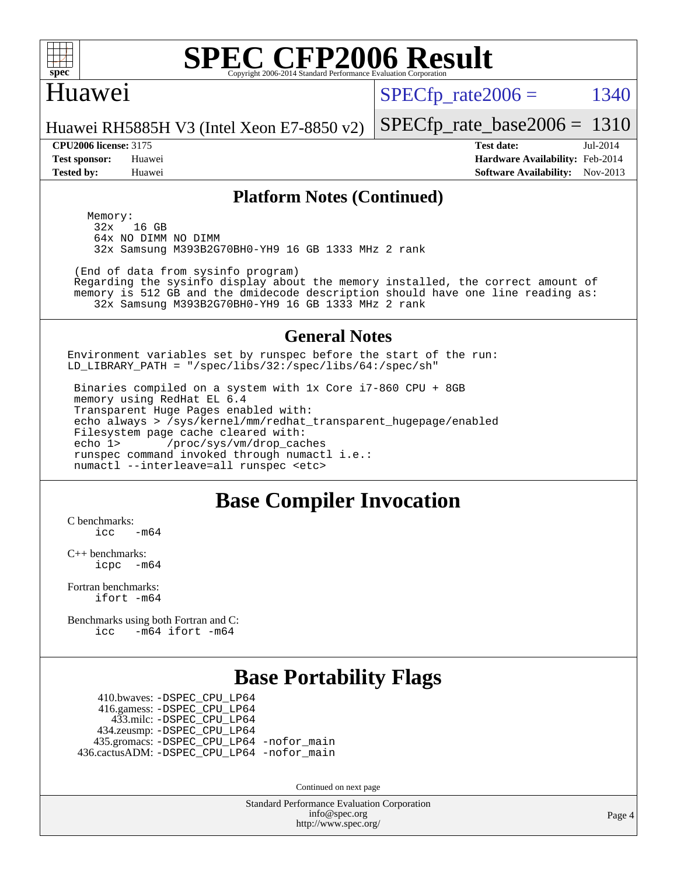

### Huawei

 $SPECTp\_rate2006 = 1340$ 

Huawei RH5885H V3 (Intel Xeon E7-8850 v2)

**[Test sponsor:](http://www.spec.org/auto/cpu2006/Docs/result-fields.html#Testsponsor)** Huawei **[Hardware Availability:](http://www.spec.org/auto/cpu2006/Docs/result-fields.html#HardwareAvailability)** Feb-2014 **[Tested by:](http://www.spec.org/auto/cpu2006/Docs/result-fields.html#Testedby)** Huawei **[Software Availability:](http://www.spec.org/auto/cpu2006/Docs/result-fields.html#SoftwareAvailability)** Nov-2013

[SPECfp\\_rate\\_base2006 =](http://www.spec.org/auto/cpu2006/Docs/result-fields.html#SPECfpratebase2006) 1310 **[CPU2006 license:](http://www.spec.org/auto/cpu2006/Docs/result-fields.html#CPU2006license)** 3175 **[Test date:](http://www.spec.org/auto/cpu2006/Docs/result-fields.html#Testdate)** Jul-2014

**[Platform Notes \(Continued\)](http://www.spec.org/auto/cpu2006/Docs/result-fields.html#PlatformNotes)**

Memory:<br>32x 16 GB 64x NO DIMM NO DIMM 32x Samsung M393B2G70BH0-YH9 16 GB 1333 MHz 2 rank

(End of data from sysinfo program)

 Regarding the sysinfo display about the memory installed, the correct amount of memory is 512 GB and the dmidecode description should have one line reading as: 32x Samsung M393B2G70BH0-YH9 16 GB 1333 MHz 2 rank

#### **[General Notes](http://www.spec.org/auto/cpu2006/Docs/result-fields.html#GeneralNotes)**

Environment variables set by runspec before the start of the run: LD\_LIBRARY\_PATH = "/spec/libs/32:/spec/libs/64:/spec/sh"

 Binaries compiled on a system with 1x Core i7-860 CPU + 8GB memory using RedHat EL 6.4 Transparent Huge Pages enabled with: echo always > /sys/kernel/mm/redhat\_transparent\_hugepage/enabled Filesystem page cache cleared with: echo 1> /proc/sys/vm/drop\_caches runspec command invoked through numactl i.e.: numactl --interleave=all runspec <etc>

### **[Base Compiler Invocation](http://www.spec.org/auto/cpu2006/Docs/result-fields.html#BaseCompilerInvocation)**

[C benchmarks](http://www.spec.org/auto/cpu2006/Docs/result-fields.html#Cbenchmarks):  $\frac{1}{2}$ cc  $-\text{m64}$ 

[C++ benchmarks:](http://www.spec.org/auto/cpu2006/Docs/result-fields.html#CXXbenchmarks) [icpc -m64](http://www.spec.org/cpu2006/results/res2014q3/cpu2006-20140727-30624.flags.html#user_CXXbase_intel_icpc_64bit_bedb90c1146cab66620883ef4f41a67e)

[Fortran benchmarks](http://www.spec.org/auto/cpu2006/Docs/result-fields.html#Fortranbenchmarks): [ifort -m64](http://www.spec.org/cpu2006/results/res2014q3/cpu2006-20140727-30624.flags.html#user_FCbase_intel_ifort_64bit_ee9d0fb25645d0210d97eb0527dcc06e)

[Benchmarks using both Fortran and C](http://www.spec.org/auto/cpu2006/Docs/result-fields.html#BenchmarksusingbothFortranandC): [icc -m64](http://www.spec.org/cpu2006/results/res2014q3/cpu2006-20140727-30624.flags.html#user_CC_FCbase_intel_icc_64bit_0b7121f5ab7cfabee23d88897260401c) [ifort -m64](http://www.spec.org/cpu2006/results/res2014q3/cpu2006-20140727-30624.flags.html#user_CC_FCbase_intel_ifort_64bit_ee9d0fb25645d0210d97eb0527dcc06e)

### **[Base Portability Flags](http://www.spec.org/auto/cpu2006/Docs/result-fields.html#BasePortabilityFlags)**

 410.bwaves: [-DSPEC\\_CPU\\_LP64](http://www.spec.org/cpu2006/results/res2014q3/cpu2006-20140727-30624.flags.html#suite_basePORTABILITY410_bwaves_DSPEC_CPU_LP64) 416.gamess: [-DSPEC\\_CPU\\_LP64](http://www.spec.org/cpu2006/results/res2014q3/cpu2006-20140727-30624.flags.html#suite_basePORTABILITY416_gamess_DSPEC_CPU_LP64) 433.milc: [-DSPEC\\_CPU\\_LP64](http://www.spec.org/cpu2006/results/res2014q3/cpu2006-20140727-30624.flags.html#suite_basePORTABILITY433_milc_DSPEC_CPU_LP64) 434.zeusmp: [-DSPEC\\_CPU\\_LP64](http://www.spec.org/cpu2006/results/res2014q3/cpu2006-20140727-30624.flags.html#suite_basePORTABILITY434_zeusmp_DSPEC_CPU_LP64) 435.gromacs: [-DSPEC\\_CPU\\_LP64](http://www.spec.org/cpu2006/results/res2014q3/cpu2006-20140727-30624.flags.html#suite_basePORTABILITY435_gromacs_DSPEC_CPU_LP64) [-nofor\\_main](http://www.spec.org/cpu2006/results/res2014q3/cpu2006-20140727-30624.flags.html#user_baseLDPORTABILITY435_gromacs_f-nofor_main) 436.cactusADM: [-DSPEC\\_CPU\\_LP64](http://www.spec.org/cpu2006/results/res2014q3/cpu2006-20140727-30624.flags.html#suite_basePORTABILITY436_cactusADM_DSPEC_CPU_LP64) [-nofor\\_main](http://www.spec.org/cpu2006/results/res2014q3/cpu2006-20140727-30624.flags.html#user_baseLDPORTABILITY436_cactusADM_f-nofor_main)

Continued on next page

Standard Performance Evaluation Corporation [info@spec.org](mailto:info@spec.org) <http://www.spec.org/>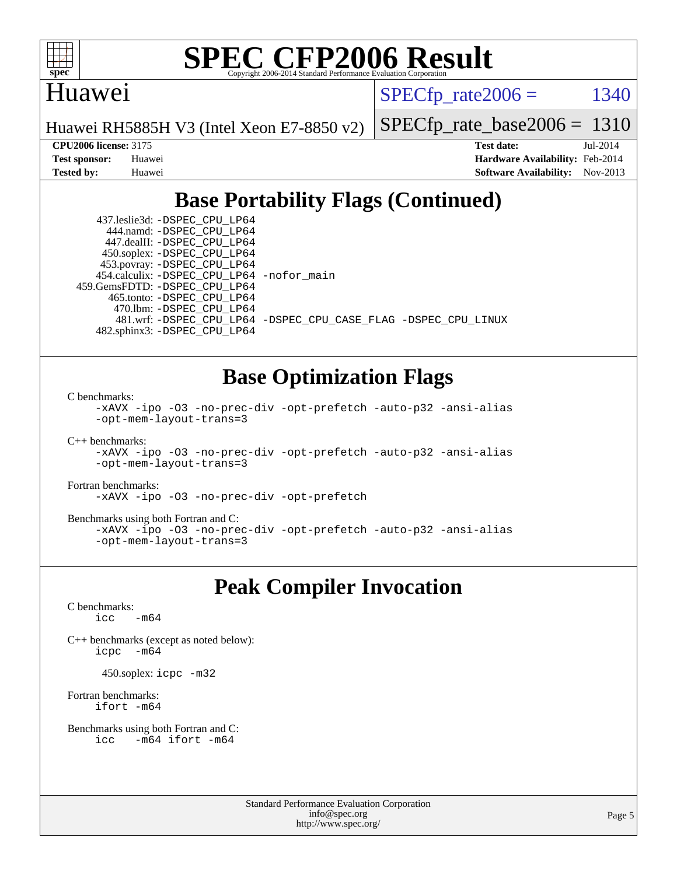

### Huawei

 $SPECTp\_rate2006 = 1340$ 

Huawei RH5885H V3 (Intel Xeon E7-8850 v2)

[SPECfp\\_rate\\_base2006 =](http://www.spec.org/auto/cpu2006/Docs/result-fields.html#SPECfpratebase2006) 1310

**[CPU2006 license:](http://www.spec.org/auto/cpu2006/Docs/result-fields.html#CPU2006license)** 3175 **[Test date:](http://www.spec.org/auto/cpu2006/Docs/result-fields.html#Testdate)** Jul-2014 **[Test sponsor:](http://www.spec.org/auto/cpu2006/Docs/result-fields.html#Testsponsor)** Huawei **[Hardware Availability:](http://www.spec.org/auto/cpu2006/Docs/result-fields.html#HardwareAvailability)** Feb-2014 **[Tested by:](http://www.spec.org/auto/cpu2006/Docs/result-fields.html#Testedby)** Huawei **[Software Availability:](http://www.spec.org/auto/cpu2006/Docs/result-fields.html#SoftwareAvailability)** Nov-2013

## **[Base Portability Flags \(Continued\)](http://www.spec.org/auto/cpu2006/Docs/result-fields.html#BasePortabilityFlags)**

 437.leslie3d: [-DSPEC\\_CPU\\_LP64](http://www.spec.org/cpu2006/results/res2014q3/cpu2006-20140727-30624.flags.html#suite_basePORTABILITY437_leslie3d_DSPEC_CPU_LP64) 444.namd: [-DSPEC\\_CPU\\_LP64](http://www.spec.org/cpu2006/results/res2014q3/cpu2006-20140727-30624.flags.html#suite_basePORTABILITY444_namd_DSPEC_CPU_LP64) 447.dealII: [-DSPEC\\_CPU\\_LP64](http://www.spec.org/cpu2006/results/res2014q3/cpu2006-20140727-30624.flags.html#suite_basePORTABILITY447_dealII_DSPEC_CPU_LP64) 450.soplex: [-DSPEC\\_CPU\\_LP64](http://www.spec.org/cpu2006/results/res2014q3/cpu2006-20140727-30624.flags.html#suite_basePORTABILITY450_soplex_DSPEC_CPU_LP64) 453.povray: [-DSPEC\\_CPU\\_LP64](http://www.spec.org/cpu2006/results/res2014q3/cpu2006-20140727-30624.flags.html#suite_basePORTABILITY453_povray_DSPEC_CPU_LP64) 454.calculix: [-DSPEC\\_CPU\\_LP64](http://www.spec.org/cpu2006/results/res2014q3/cpu2006-20140727-30624.flags.html#suite_basePORTABILITY454_calculix_DSPEC_CPU_LP64) [-nofor\\_main](http://www.spec.org/cpu2006/results/res2014q3/cpu2006-20140727-30624.flags.html#user_baseLDPORTABILITY454_calculix_f-nofor_main) 459.GemsFDTD: [-DSPEC\\_CPU\\_LP64](http://www.spec.org/cpu2006/results/res2014q3/cpu2006-20140727-30624.flags.html#suite_basePORTABILITY459_GemsFDTD_DSPEC_CPU_LP64) 465.tonto: [-DSPEC\\_CPU\\_LP64](http://www.spec.org/cpu2006/results/res2014q3/cpu2006-20140727-30624.flags.html#suite_basePORTABILITY465_tonto_DSPEC_CPU_LP64) 470.lbm: [-DSPEC\\_CPU\\_LP64](http://www.spec.org/cpu2006/results/res2014q3/cpu2006-20140727-30624.flags.html#suite_basePORTABILITY470_lbm_DSPEC_CPU_LP64) 482.sphinx3: [-DSPEC\\_CPU\\_LP64](http://www.spec.org/cpu2006/results/res2014q3/cpu2006-20140727-30624.flags.html#suite_basePORTABILITY482_sphinx3_DSPEC_CPU_LP64)

481.wrf: [-DSPEC\\_CPU\\_LP64](http://www.spec.org/cpu2006/results/res2014q3/cpu2006-20140727-30624.flags.html#suite_basePORTABILITY481_wrf_DSPEC_CPU_LP64) [-DSPEC\\_CPU\\_CASE\\_FLAG](http://www.spec.org/cpu2006/results/res2014q3/cpu2006-20140727-30624.flags.html#b481.wrf_baseCPORTABILITY_DSPEC_CPU_CASE_FLAG) [-DSPEC\\_CPU\\_LINUX](http://www.spec.org/cpu2006/results/res2014q3/cpu2006-20140727-30624.flags.html#b481.wrf_baseCPORTABILITY_DSPEC_CPU_LINUX)

### **[Base Optimization Flags](http://www.spec.org/auto/cpu2006/Docs/result-fields.html#BaseOptimizationFlags)**

[C benchmarks](http://www.spec.org/auto/cpu2006/Docs/result-fields.html#Cbenchmarks):

[-xAVX](http://www.spec.org/cpu2006/results/res2014q3/cpu2006-20140727-30624.flags.html#user_CCbase_f-xAVX) [-ipo](http://www.spec.org/cpu2006/results/res2014q3/cpu2006-20140727-30624.flags.html#user_CCbase_f-ipo) [-O3](http://www.spec.org/cpu2006/results/res2014q3/cpu2006-20140727-30624.flags.html#user_CCbase_f-O3) [-no-prec-div](http://www.spec.org/cpu2006/results/res2014q3/cpu2006-20140727-30624.flags.html#user_CCbase_f-no-prec-div) [-opt-prefetch](http://www.spec.org/cpu2006/results/res2014q3/cpu2006-20140727-30624.flags.html#user_CCbase_f-opt-prefetch) [-auto-p32](http://www.spec.org/cpu2006/results/res2014q3/cpu2006-20140727-30624.flags.html#user_CCbase_f-auto-p32) [-ansi-alias](http://www.spec.org/cpu2006/results/res2014q3/cpu2006-20140727-30624.flags.html#user_CCbase_f-ansi-alias) [-opt-mem-layout-trans=3](http://www.spec.org/cpu2006/results/res2014q3/cpu2006-20140727-30624.flags.html#user_CCbase_f-opt-mem-layout-trans_a7b82ad4bd7abf52556d4961a2ae94d5)

[C++ benchmarks:](http://www.spec.org/auto/cpu2006/Docs/result-fields.html#CXXbenchmarks)

```
-xAVX -ipo -O3 -no-prec-div -opt-prefetch -auto-p32 -ansi-alias
-opt-mem-layout-trans=3
```
[Fortran benchmarks](http://www.spec.org/auto/cpu2006/Docs/result-fields.html#Fortranbenchmarks):

[-xAVX](http://www.spec.org/cpu2006/results/res2014q3/cpu2006-20140727-30624.flags.html#user_FCbase_f-xAVX) [-ipo](http://www.spec.org/cpu2006/results/res2014q3/cpu2006-20140727-30624.flags.html#user_FCbase_f-ipo) [-O3](http://www.spec.org/cpu2006/results/res2014q3/cpu2006-20140727-30624.flags.html#user_FCbase_f-O3) [-no-prec-div](http://www.spec.org/cpu2006/results/res2014q3/cpu2006-20140727-30624.flags.html#user_FCbase_f-no-prec-div) [-opt-prefetch](http://www.spec.org/cpu2006/results/res2014q3/cpu2006-20140727-30624.flags.html#user_FCbase_f-opt-prefetch)

[Benchmarks using both Fortran and C](http://www.spec.org/auto/cpu2006/Docs/result-fields.html#BenchmarksusingbothFortranandC):

```
-xAVX -ipo -O3 -no-prec-div -opt-prefetch -auto-p32 -ansi-alias
-opt-mem-layout-trans=3
```
### **[Peak Compiler Invocation](http://www.spec.org/auto/cpu2006/Docs/result-fields.html#PeakCompilerInvocation)**

[C benchmarks](http://www.spec.org/auto/cpu2006/Docs/result-fields.html#Cbenchmarks):  $\text{icc}$  -m64

[C++ benchmarks \(except as noted below\):](http://www.spec.org/auto/cpu2006/Docs/result-fields.html#CXXbenchmarksexceptasnotedbelow) [icpc -m64](http://www.spec.org/cpu2006/results/res2014q3/cpu2006-20140727-30624.flags.html#user_CXXpeak_intel_icpc_64bit_bedb90c1146cab66620883ef4f41a67e)

450.soplex: [icpc -m32](http://www.spec.org/cpu2006/results/res2014q3/cpu2006-20140727-30624.flags.html#user_peakCXXLD450_soplex_intel_icpc_4e5a5ef1a53fd332b3c49e69c3330699)

[Fortran benchmarks](http://www.spec.org/auto/cpu2006/Docs/result-fields.html#Fortranbenchmarks): [ifort -m64](http://www.spec.org/cpu2006/results/res2014q3/cpu2006-20140727-30624.flags.html#user_FCpeak_intel_ifort_64bit_ee9d0fb25645d0210d97eb0527dcc06e)

```
Benchmarks using both Fortran and C: 
    icc -m64 ifort -m64
```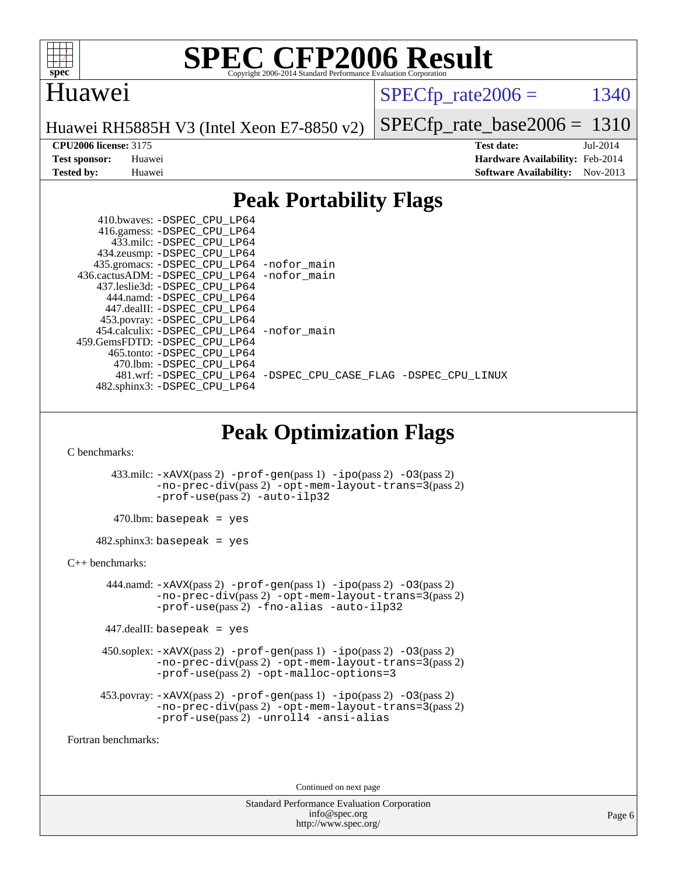

### Huawei

 $SPECTp\_rate2006 = 1340$ 

[-DSPEC\\_CPU\\_LINUX](http://www.spec.org/cpu2006/results/res2014q3/cpu2006-20140727-30624.flags.html#b481.wrf_peakCPORTABILITY_DSPEC_CPU_LINUX)

Huawei RH5885H V3 (Intel Xeon E7-8850 v2)

**[Tested by:](http://www.spec.org/auto/cpu2006/Docs/result-fields.html#Testedby)** Huawei **[Software Availability:](http://www.spec.org/auto/cpu2006/Docs/result-fields.html#SoftwareAvailability)** Nov-2013

[SPECfp\\_rate\\_base2006 =](http://www.spec.org/auto/cpu2006/Docs/result-fields.html#SPECfpratebase2006) 1310 **[CPU2006 license:](http://www.spec.org/auto/cpu2006/Docs/result-fields.html#CPU2006license)** 3175 **[Test date:](http://www.spec.org/auto/cpu2006/Docs/result-fields.html#Testdate)** Jul-2014 **[Test sponsor:](http://www.spec.org/auto/cpu2006/Docs/result-fields.html#Testsponsor)** Huawei **[Hardware Availability:](http://www.spec.org/auto/cpu2006/Docs/result-fields.html#HardwareAvailability)** Feb-2014

## **[Peak Portability Flags](http://www.spec.org/auto/cpu2006/Docs/result-fields.html#PeakPortabilityFlags)**

| 410.bwaves: -DSPEC CPU LP64                   |  |
|-----------------------------------------------|--|
| 416.gamess: -DSPEC_CPU_LP64                   |  |
| 433.milc: -DSPEC CPU LP64                     |  |
| 434.zeusmp: -DSPEC_CPU_LP64                   |  |
| 435.gromacs: -DSPEC_CPU_LP64 -nofor_main      |  |
| 436.cactusADM: -DSPEC CPU LP64 -nofor main    |  |
| 437.leslie3d: -DSPEC CPU LP64                 |  |
| 444.namd: -DSPEC CPU LP64                     |  |
| 447.dealII: -DSPEC CPU LP64                   |  |
| 453.povray: -DSPEC_CPU_LP64                   |  |
| 454.calculix: - DSPEC CPU LP64 - nofor main   |  |
| 459. GemsFDTD: - DSPEC CPU LP64               |  |
| 465.tonto: - DSPEC_CPU LP64                   |  |
| 470.1bm: - DSPEC CPU LP64                     |  |
| 481.wrf: -DSPEC CPU LP64 -DSPEC CPU CASE FLAG |  |
| 482.sphinx3: -DSPEC_CPU_LP64                  |  |

## **[Peak Optimization Flags](http://www.spec.org/auto/cpu2006/Docs/result-fields.html#PeakOptimizationFlags)**

[C benchmarks](http://www.spec.org/auto/cpu2006/Docs/result-fields.html#Cbenchmarks):

 433.milc: [-xAVX](http://www.spec.org/cpu2006/results/res2014q3/cpu2006-20140727-30624.flags.html#user_peakPASS2_CFLAGSPASS2_LDFLAGS433_milc_f-xAVX)(pass 2) [-prof-gen](http://www.spec.org/cpu2006/results/res2014q3/cpu2006-20140727-30624.flags.html#user_peakPASS1_CFLAGSPASS1_LDFLAGS433_milc_prof_gen_e43856698f6ca7b7e442dfd80e94a8fc)(pass 1) [-ipo](http://www.spec.org/cpu2006/results/res2014q3/cpu2006-20140727-30624.flags.html#user_peakPASS2_CFLAGSPASS2_LDFLAGS433_milc_f-ipo)(pass 2) [-O3](http://www.spec.org/cpu2006/results/res2014q3/cpu2006-20140727-30624.flags.html#user_peakPASS2_CFLAGSPASS2_LDFLAGS433_milc_f-O3)(pass 2) [-no-prec-div](http://www.spec.org/cpu2006/results/res2014q3/cpu2006-20140727-30624.flags.html#user_peakPASS2_CFLAGSPASS2_LDFLAGS433_milc_f-no-prec-div)(pass 2) [-opt-mem-layout-trans=3](http://www.spec.org/cpu2006/results/res2014q3/cpu2006-20140727-30624.flags.html#user_peakPASS2_CFLAGS433_milc_f-opt-mem-layout-trans_a7b82ad4bd7abf52556d4961a2ae94d5)(pass 2) [-prof-use](http://www.spec.org/cpu2006/results/res2014q3/cpu2006-20140727-30624.flags.html#user_peakPASS2_CFLAGSPASS2_LDFLAGS433_milc_prof_use_bccf7792157ff70d64e32fe3e1250b55)(pass 2) [-auto-ilp32](http://www.spec.org/cpu2006/results/res2014q3/cpu2006-20140727-30624.flags.html#user_peakCOPTIMIZE433_milc_f-auto-ilp32)

 $470$ .lbm: basepeak = yes

482.sphinx3: basepeak = yes

[C++ benchmarks:](http://www.spec.org/auto/cpu2006/Docs/result-fields.html#CXXbenchmarks)

444.namd:  $-xAVX(pass 2)$  $-xAVX(pass 2)$  [-prof-gen](http://www.spec.org/cpu2006/results/res2014q3/cpu2006-20140727-30624.flags.html#user_peakPASS1_CXXFLAGSPASS1_LDFLAGS444_namd_prof_gen_e43856698f6ca7b7e442dfd80e94a8fc)(pass 1) [-ipo](http://www.spec.org/cpu2006/results/res2014q3/cpu2006-20140727-30624.flags.html#user_peakPASS2_CXXFLAGSPASS2_LDFLAGS444_namd_f-ipo)(pass 2) [-O3](http://www.spec.org/cpu2006/results/res2014q3/cpu2006-20140727-30624.flags.html#user_peakPASS2_CXXFLAGSPASS2_LDFLAGS444_namd_f-O3)(pass 2) [-no-prec-div](http://www.spec.org/cpu2006/results/res2014q3/cpu2006-20140727-30624.flags.html#user_peakPASS2_CXXFLAGSPASS2_LDFLAGS444_namd_f-no-prec-div)(pass 2) [-opt-mem-layout-trans=3](http://www.spec.org/cpu2006/results/res2014q3/cpu2006-20140727-30624.flags.html#user_peakPASS2_CXXFLAGS444_namd_f-opt-mem-layout-trans_a7b82ad4bd7abf52556d4961a2ae94d5)(pass 2) [-prof-use](http://www.spec.org/cpu2006/results/res2014q3/cpu2006-20140727-30624.flags.html#user_peakPASS2_CXXFLAGSPASS2_LDFLAGS444_namd_prof_use_bccf7792157ff70d64e32fe3e1250b55)(pass 2) [-fno-alias](http://www.spec.org/cpu2006/results/res2014q3/cpu2006-20140727-30624.flags.html#user_peakCXXOPTIMIZE444_namd_f-no-alias_694e77f6c5a51e658e82ccff53a9e63a) [-auto-ilp32](http://www.spec.org/cpu2006/results/res2014q3/cpu2006-20140727-30624.flags.html#user_peakCXXOPTIMIZE444_namd_f-auto-ilp32)

 $447$ .dealII: basepeak = yes

 450.soplex: [-xAVX](http://www.spec.org/cpu2006/results/res2014q3/cpu2006-20140727-30624.flags.html#user_peakPASS2_CXXFLAGSPASS2_LDFLAGS450_soplex_f-xAVX)(pass 2) [-prof-gen](http://www.spec.org/cpu2006/results/res2014q3/cpu2006-20140727-30624.flags.html#user_peakPASS1_CXXFLAGSPASS1_LDFLAGS450_soplex_prof_gen_e43856698f6ca7b7e442dfd80e94a8fc)(pass 1) [-ipo](http://www.spec.org/cpu2006/results/res2014q3/cpu2006-20140727-30624.flags.html#user_peakPASS2_CXXFLAGSPASS2_LDFLAGS450_soplex_f-ipo)(pass 2) [-O3](http://www.spec.org/cpu2006/results/res2014q3/cpu2006-20140727-30624.flags.html#user_peakPASS2_CXXFLAGSPASS2_LDFLAGS450_soplex_f-O3)(pass 2) [-no-prec-div](http://www.spec.org/cpu2006/results/res2014q3/cpu2006-20140727-30624.flags.html#user_peakPASS2_CXXFLAGSPASS2_LDFLAGS450_soplex_f-no-prec-div)(pass 2) [-opt-mem-layout-trans=3](http://www.spec.org/cpu2006/results/res2014q3/cpu2006-20140727-30624.flags.html#user_peakPASS2_CXXFLAGS450_soplex_f-opt-mem-layout-trans_a7b82ad4bd7abf52556d4961a2ae94d5)(pass 2) [-prof-use](http://www.spec.org/cpu2006/results/res2014q3/cpu2006-20140727-30624.flags.html#user_peakPASS2_CXXFLAGSPASS2_LDFLAGS450_soplex_prof_use_bccf7792157ff70d64e32fe3e1250b55)(pass 2) [-opt-malloc-options=3](http://www.spec.org/cpu2006/results/res2014q3/cpu2006-20140727-30624.flags.html#user_peakOPTIMIZE450_soplex_f-opt-malloc-options_13ab9b803cf986b4ee62f0a5998c2238)

```
 453.povray: -xAVX(pass 2) -prof-gen(pass 1) -ipo(pass 2) -O3(pass 2)
         -no-prec-div(pass 2) -opt-mem-layout-trans=3(pass 2)
         -prof-use(pass 2) -unroll4 -ansi-alias
```
[Fortran benchmarks](http://www.spec.org/auto/cpu2006/Docs/result-fields.html#Fortranbenchmarks):

Continued on next page

Standard Performance Evaluation Corporation [info@spec.org](mailto:info@spec.org) <http://www.spec.org/>